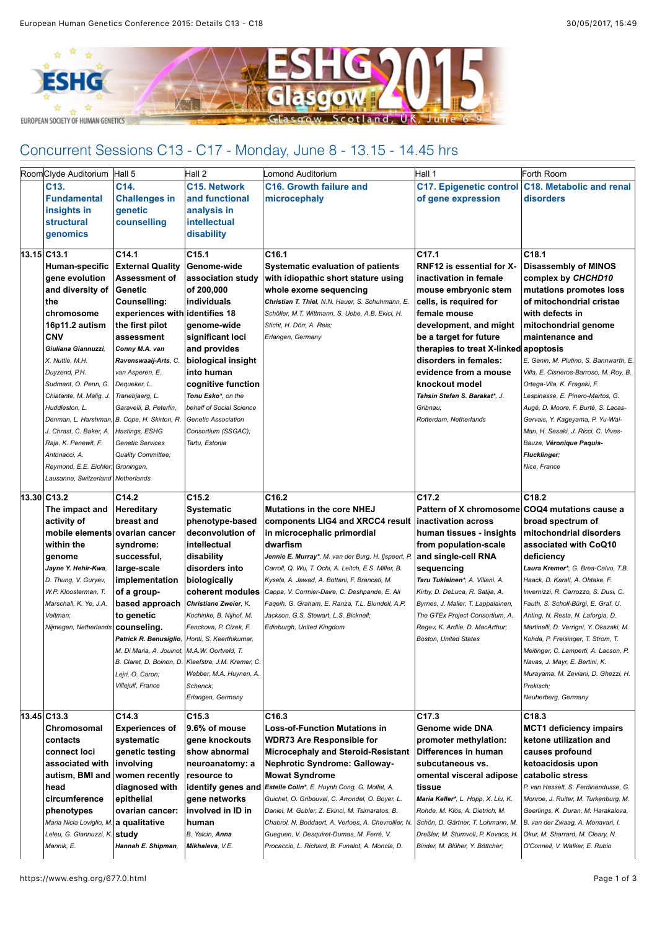

## Concurrent Sessions C13 - C17 - Monday, June 8 - 13.15 - 14.45 hrs

| RoomClyde Auditorium                   | Hall 5                                       | Hall 2                     | omond Auditorium.                                               | Hall 1                                         | Forth Room                                       |
|----------------------------------------|----------------------------------------------|----------------------------|-----------------------------------------------------------------|------------------------------------------------|--------------------------------------------------|
| C13.                                   | C14.                                         | <b>C15. Network</b>        | C <sub>16</sub> . Growth failure and                            |                                                | C17. Epigenetic control C18. Metabolic and renal |
| <b>Fundamental</b>                     | <b>Challenges in</b>                         | and functional             | microcephaly                                                    | of gene expression                             | disorders                                        |
| insights in                            | genetic                                      | analysis in                |                                                                 |                                                |                                                  |
| <b>structural</b>                      | counselling                                  | <b>intellectual</b>        |                                                                 |                                                |                                                  |
| genomics                               |                                              | disability                 |                                                                 |                                                |                                                  |
|                                        |                                              |                            |                                                                 |                                                |                                                  |
| 13.15 C13.1                            | C <sub>14.1</sub>                            | C <sub>15.1</sub>          | C <sub>16.1</sub>                                               | C <sub>17.1</sub>                              | C <sub>18.1</sub>                                |
| Human-specific                         | <b>External Quality</b>                      | Genome-wide                | <b>Systematic evaluation of patients</b>                        | RNF12 is essential for X-                      | <b>Disassembly of MINOS</b>                      |
| gene evolution                         | Assessment of                                | association study          | with idiopathic short stature using                             | inactivation in female                         | complex by CHCHD10                               |
| and diversity of                       | Genetic                                      | of 200,000                 | whole exome sequencing                                          | mouse embryonic stem                           | mutations promotes loss                          |
| the                                    | Counselling:                                 | individuals                | Christian T. Thiel, N.N. Hauer, S. Schuhmann, E.                | cells, is required for                         | of mitochondrial cristae                         |
| chromosome                             | experiences with identifies 18               |                            | Schöller, M.T. Wittmann, S. Uebe, A.B. Ekici, H.                | female mouse                                   | with defects in                                  |
| 16p11.2 autism                         | the first pilot                              | genome-wide                | Sticht, H. Dörr, A. Reis;                                       | development, and might                         | mitochondrial genome                             |
| <b>CNV</b>                             | assessment                                   | significant loci           | Erlangen, Germany                                               | be a target for future                         | maintenance and                                  |
| Giuliana Giannuzzi.                    | Conny M.A. van                               | and provides               |                                                                 | therapies to treat X-linked apoptosis          |                                                  |
| X. Nuttle, M.H.                        | Ravenswaaij-Arts, C.                         | biological insight         |                                                                 | disorders in females:                          | E. Genin, M. Plutino, S. Bannwarth, E.           |
| Duyzend, P.H.                          | van Asperen, E.                              | into human                 |                                                                 | evidence from a mouse                          | Villa, E. Cisneros-Barroso, M. Roy, B.           |
| Sudmant, O. Penn, G.                   | Dequeker, L.                                 | cognitive function         |                                                                 | knockout model                                 | Ortega-Vila, K. Fragaki, F.                      |
| Chiatante, M. Malig, J.                | Tranebjaerg, L.                              | Tonu Esko*, on the         |                                                                 | Tahsin Stefan S. Barakat*, J.                  | Lespinasse, E. Pinero-Martos, G.                 |
| Huddleston, L.                         | Garavelli, B. Peterlin,                      | behalf of Social Science   |                                                                 | Gribnau;                                       | Augé, D. Moore, F. Burté, S. Lacas-              |
| Denman, L. Harshman,                   | B. Cope, H. Skirton, R.                      | Genetic Association        |                                                                 | Rotterdam, Netherlands                         | Gervais, Y. Kageyama, P. Yu-Wai-                 |
| J. Chrast, C. Baker, A.                | Hastings, ESHG                               | Consortium (SSGAC);        |                                                                 |                                                | Man, H. Sesaki, J. Ricci, C. Vives-              |
| Raja, K. Penewit, F.                   | Genetic Services                             | Tartu, Estonia             |                                                                 |                                                | Bauza, Véronique Paquis-                         |
| Antonacci, A.                          | Quality Committee;                           |                            |                                                                 |                                                | <b>Flucklinger;</b>                              |
| Reymond, E.E. Eichler; Groningen,      |                                              |                            |                                                                 |                                                | Nice, France                                     |
| Lausanne, Switzerland Netherlands      |                                              |                            |                                                                 |                                                |                                                  |
| 13.30 C13.2                            | C14.2                                        | C <sub>15.2</sub>          | C <sub>16.2</sub>                                               | C <sub>17.2</sub>                              | C <sub>18.2</sub>                                |
| The impact and                         | <b>Hereditary</b>                            | <b>Systematic</b>          | <b>Mutations in the core NHEJ</b>                               | Pattern of X chromosome COQ4 mutations cause a |                                                  |
| activity of                            | breast and                                   | phenotype-based            | components LIG4 and XRCC4 result                                | inactivation across                            | broad spectrum of                                |
| mobile elements                        | ovarian cancer                               | deconvolution of           | in microcephalic primordial                                     | human tissues - insights                       | mitochondrial disorders                          |
| within the                             | syndrome:                                    | intellectual               | dwarfism                                                        | from population-scale                          | associated with CoQ10                            |
| genome                                 | successful,                                  | disability                 | <b>Jennie E. Murray*</b> , M. van der Burg, H. Ijspeert, P.     | and single-cell RNA                            | deficiency                                       |
| Jayne Y. Hehir-Kwa,                    | large-scale                                  | disorders into             | Carroll, Q. Wu, T. Ochi, A. Leitch, E.S. Miller, B.             | sequencing                                     | Laura Kremer*, G. Brea-Calvo, T.B.               |
| D. Thung, V. Guryev,                   | implementation                               | biologically               | Kysela, A. Jawad, A. Bottani, F. Brancati, M.                   | Taru Tukiainen*, A. Villani, A.                | Haack, D. Karall, A. Ohtake, F.                  |
| W.P. Kloosterman, T.                   | of a group-                                  | coherent modules           | Cappa, V. Cormier-Daire, C. Deshpande, E. Ali                   | Kirby, D. DeLuca, R. Satija, A.                | Invernizzi, R. Carrozzo, S. Dusi, C.             |
| Marschall, K. Ye, J.A.                 | based approach                               | Christiane Zweier, K.      | Faqeih, G. Graham, E. Ranza, T.L. Blundell, A.P.                | Byrnes, J. Maller, T. Lappalainen,             | Fauth, S. Scholl-Bürgi, E. Graf, U.              |
| Veltman;                               | to genetic                                   | Kochinke, B. Nijhof, M.    | Jackson, G.S. Stewart, L.S. Bicknell;                           | The GTEx Project Consortium, A.                | Ahting, N. Resta, N. Laforgia, D.                |
| Nijmegen, Netherlands                  | counseling.                                  | Fenckova, P. Cizek, F.     | Edinburgh, United Kingdom                                       | Regev, K. Ardlie, D. MacArthur;                | Martinelli, D. Verrigni, Y. Okazaki, M.          |
|                                        | Patrick R. Benusiglio.                       | Honti, S. Keerthikumar,    |                                                                 | <b>Boston, United States</b>                   | Kohda, P. Freisinger, T. Strom, T.               |
|                                        | M. Di Maria, A. Jouinot, M.A.W. Oortveld, T. |                            |                                                                 |                                                | Meitinger, C. Lamperti, A. Lacson, P.            |
|                                        | B. Claret, D. Boinon, D.                     | Kleefstra, J.M. Kramer, C. |                                                                 |                                                | Navas, J. Mayr, E. Bertini, K.                   |
|                                        | Lejri, O. Caron;                             | Webber, M.A. Huynen, A.    |                                                                 |                                                | Murayama, M. Zeviani, D. Ghezzi, H.              |
|                                        | Villejuif, France                            | Schenck;                   |                                                                 |                                                | Prokisch;                                        |
|                                        |                                              | Erlangen, Germany          |                                                                 |                                                | Neuherberg, Germany                              |
| 13.45 C13.3                            | C14.3                                        | C15.3                      | C16.3                                                           | C17.3                                          | C <sub>18.3</sub>                                |
| Chromosomal                            | <b>Experiences of</b>                        | 9.6% of mouse              | <b>Loss-of-Function Mutations in</b>                            | Genome wide DNA                                | <b>MCT1 deficiency impairs</b>                   |
| contacts                               | systematic                                   | gene knockouts             | <b>WDR73 Are Responsible for</b>                                | promoter methylation:                          | ketone utilization and                           |
| connect loci                           | genetic testing                              | show abnormal              | <b>Microcephaly and Steroid-Resistant</b>                       | Differences in human                           | causes profound                                  |
| associated with                        | involving                                    | neuroanatomy: a            | <b>Nephrotic Syndrome: Galloway-</b>                            | subcutaneous vs.                               | ketoacidosis upon                                |
| autism, BMI and women recently         |                                              | resource to                | <b>Mowat Syndrome</b>                                           | omental visceral adipose                       | catabolic stress                                 |
| head                                   | diagnosed with                               |                            | identify genes and Estelle Colin*, E. Huynh Cong, G. Mollet, A. | tissue                                         | P. van Hasselt, S. Ferdinandusse, G.             |
| circumference                          | epithelial                                   | gene networks              | Guichet, O. Gribouval, C. Arrondel, O. Boyer, L.                | Maria Keller*, L. Hopp, X. Liu, K.             | Monroe, J. Ruiter, M. Turkenburg, M.             |
| phenotypes                             | ovarian cancer:                              | involved in ID in          | Daniel, M. Gubler, Z. Ekinci, M. Tsimaratos, B.                 | Rohde, M. Klös, A. Dietrich, M.                | Geerlings, K. Duran, M. Harakalova,              |
| Maria Nicla Loviglio, M. a qualitative |                                              | human                      | Chabrol, N. Boddaert, A. Verloes, A. Chevrollier, N.            | Schön, D. Gärtner, T. Lohmann, M.              | B. van der Zwaag, A. Monavari, I.                |
| Leleu, G. Giannuzzi, K. <b>Study</b>   |                                              | B. Yalcin, Anna            | Gueguen, V. Desquiret-Dumas, M. Ferré, V.                       | Dreßler, M. Stumvoll, P. Kovacs, H.            | Okur, M. Sharrard, M. Cleary, N.                 |
| Mannik, E.                             | Hannah E. Shipman,                           | Mikhaleva, V.E.            | Procaccio, L. Richard, B. Funalot, A. Moncla, D.                | Binder, M. Blüher, Y. Böttcher;                | O'Connell, V. Walker, E. Rubio                   |
|                                        |                                              |                            |                                                                 |                                                |                                                  |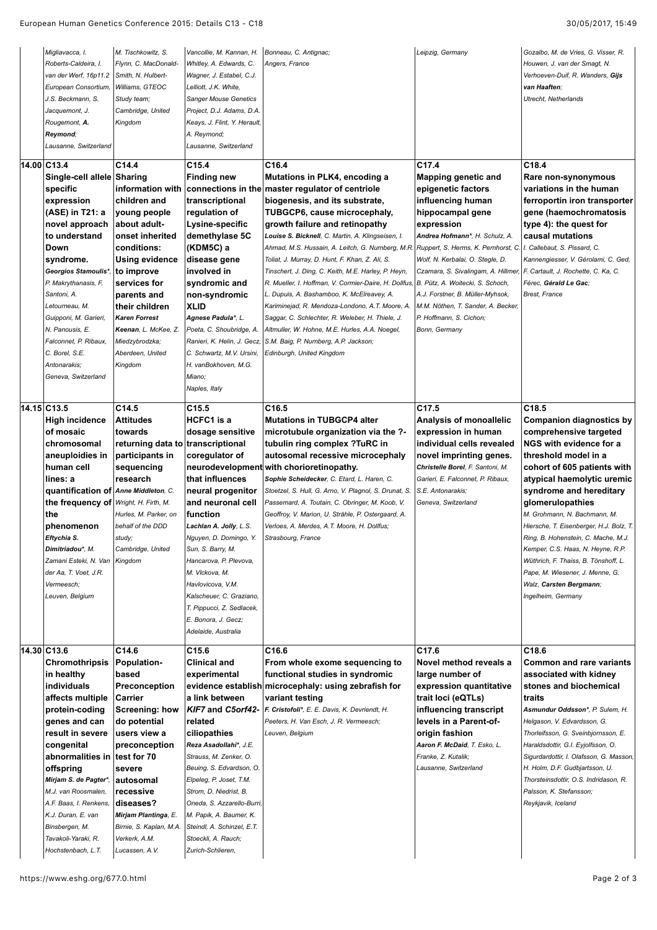| Migliavacca, I.<br>Roberts-Caldeira, I.<br>van der Werf, 16p11.2<br>European Consortium,<br>J.S. Beckmann, S.<br>Jacquemont, J.<br>Rougemont, A.<br>Reymond;<br>Lausanne, Switzerland                                                                                                                                                                           | M. Tischkowitz, S.<br>Flynn, C. MacDonald-<br>Smith, N. Hulbert-<br>Williams, GTEOC<br>Study team;<br>Cambridge, United<br>Kingdom                                                                                                                                                                    | Vancollie, M. Kannan, H.<br>Whitley, A. Edwards, C.<br>Wagner, J. Estabel, C.J.<br>Lelliott, J.K. White,<br><b>Sanger Mouse Genetics</b><br>Project, D.J. Adams, D.A.<br>Keays, J. Flint, Y. Herault,<br>A. Reymond;<br>Lausanne, Switzerland                                                                                                                                                   | Bonneau, C. Antignac;<br>Angers, France                                                                                                                                                                                                                                                                                                                                                                                                                                                                                                                                                                                                                                                                                                                                                                                   | Leipzig, Germany                                                                                                                                                                                                                                                                                                                                                                                                                 | Gozalbo, M. de Vries, G. Visser, R.<br>Houwen, J. van der Smagt, N.<br>Verhoeven-Duif, R. Wanders, Gijs<br>van Haaften:<br>Utrecht, Netherlands                                                                                                                                                                                                                                                                                                                                                                      |
|-----------------------------------------------------------------------------------------------------------------------------------------------------------------------------------------------------------------------------------------------------------------------------------------------------------------------------------------------------------------|-------------------------------------------------------------------------------------------------------------------------------------------------------------------------------------------------------------------------------------------------------------------------------------------------------|-------------------------------------------------------------------------------------------------------------------------------------------------------------------------------------------------------------------------------------------------------------------------------------------------------------------------------------------------------------------------------------------------|---------------------------------------------------------------------------------------------------------------------------------------------------------------------------------------------------------------------------------------------------------------------------------------------------------------------------------------------------------------------------------------------------------------------------------------------------------------------------------------------------------------------------------------------------------------------------------------------------------------------------------------------------------------------------------------------------------------------------------------------------------------------------------------------------------------------------|----------------------------------------------------------------------------------------------------------------------------------------------------------------------------------------------------------------------------------------------------------------------------------------------------------------------------------------------------------------------------------------------------------------------------------|----------------------------------------------------------------------------------------------------------------------------------------------------------------------------------------------------------------------------------------------------------------------------------------------------------------------------------------------------------------------------------------------------------------------------------------------------------------------------------------------------------------------|
| 14.00 C13.4<br>Single-cell allele Sharing<br>specific<br>expression<br>(ASE) in T21: a<br>novel approach<br>to understand<br>Down<br>syndrome.<br>Georgios Stamoulis*,<br>P. Makrythanasis, F.<br>Santoni, A.<br>Letourneau, M.<br>Guipponi, M. Garieri,<br>N. Panousis, E.<br>Falconnet, P. Ribaux,<br>C. Borel, S.E.<br>Antonarakis;<br>Geneva, Switzerland   | C14.4<br>information with<br>children and<br>young people<br>about adult-<br>onset inherited<br>conditions:<br><b>Using evidence</b><br>∣to improve<br>services for<br>parents and<br>their children<br><b>Karen Forrest</b><br>Keenan, L. McKee, Z.<br>Miedzybrodzka;<br>Aberdeen, United<br>Kingdom | C <sub>15.4</sub><br><b>Finding new</b><br>transcriptional<br>regulation of<br>Lysine-specific<br>demethylase 5C<br>(KDM5C) a<br>disease gene<br>involved in<br>syndromic and<br>non-syndromic<br><b>XLID</b><br>Agnese Padula*, L.<br>Poeta, C. Shoubridge, A.<br>Ranieri, K. Helin, J. Gecz,<br>C. Schwartz, M.V. Ursini,<br>H. vanBokhoven, M.G.<br>Miano:<br>Naples, Italy                  | C16.4<br>Mutations in PLK4, encoding a<br>connections in the master regulator of centriole<br>biogenesis, and its substrate,<br>TUBGCP6, cause microcephaly,<br>growth failure and retinopathy<br>Louise S. Bicknell, C. Martin, A. Klingseisen, I.<br>Ahmad, M.S. Hussain, A. Leitch, G. Nurnberg, M.R. Ruppert, S. Herms, K. Pernhorst, C. I. Callebaut, S. Pissard, C.<br>Toliat, J. Murray, D. Hunt, F. Khan, Z. Ali, S.<br>Tinschert, J. Ding, C. Keith, M.E. Harley, P. Heyn,<br>R. Mueller, I. Hoffman, V. Cormier-Daire, H. Dollfus,<br>L. Dupuis, A. Bashamboo, K. McElreavey, A.<br>Kariminejad, R. Mendoza-Londono, A.T. Moore, A.<br>Saggar, C. Schlechter, R. Weleber, H. Thiele, J.<br>Altmuller, W. Hohne, M.E. Hurles, A.A. Noegel,<br>S.M. Baig, P. Nurnberg, A.P. Jackson;<br>Edinburgh, United Kingdom | C <sub>17.4</sub><br>Mapping genetic and<br>epigenetic factors<br>influencing human<br>hippocampal gene<br>expression<br>Andrea Hofmann*, H. Schulz, A.<br>Wolf, N. Kerbalai, O. Stegle, D.<br>Czamara, S. Sivalingam, A. Hillmer, F. Cartault, J. Rochette, C. Ka, C.<br>B. Pütz, A. Woitecki, S. Schoch,<br>A.J. Forstner, B. Müller-Myhsok,<br>M.M. Nöthen, T. Sander, A. Becker,<br>P. Hoffmann, S. Cichon;<br>Bonn, Germany | C <sub>18.4</sub><br>Rare non-synonymous<br>variations in the human<br>ferroportin iron transporter<br>gene (haemochromatosis<br>type 4): the quest for<br>causal mutations<br>Kannengiesser, V. Gérolami, C. Ged,<br>Férec, Gérald Le Gac;<br><b>Brest, France</b>                                                                                                                                                                                                                                                  |
| 14.15 C13.5<br><b>High incidence</b><br>of mosaic<br>chromosomal<br>aneuploidies in<br>human cell<br>lines: a<br>quantification of Anne Middleton, C.<br>the frequency of Wright, H. Firth, M.<br>the<br>phenomenon<br>Eftychia S.<br>Dimitriadou*, M.<br>Zamani Esteki, N. Van Kingdom<br>der Aa, T. Voet, J.R.<br>Vermeesch:<br>Leuven, Belgium               | C <sub>14.5</sub><br><b>Attitudes</b><br>towards<br>returning data to transcriptional<br>participants in<br>sequencing<br>research<br>Hurles, M. Parker, on<br>behalf of the DDD<br>study;<br>Cambridge, United                                                                                       | C <sub>15.5</sub><br>HCFC1 is a<br>dosage sensitive<br>coregulator of<br>that influences<br>neural progenitor<br>and neuronal cell<br>function<br>Lachlan A. Jolly, L.S.<br>Nguyen, D. Domingo, Y.<br>Sun, S. Barry, M.<br>Hancarova, P. Plevova.<br>M. Vlckova, M.<br>Havlovicova, V.M.<br>Kalscheuer, C. Graziano,<br>T. Pippucci, Z. Sedlacek,<br>E. Bonora, J. Gecz;<br>Adelaide, Australia | C16.5<br><b>Mutations in TUBGCP4 alter</b><br>microtubule organization via the ?-<br>tubulin ring complex ?TuRC in<br>autosomal recessive microcephaly<br>neurodevelopment with chorioretinopathy.<br>Sophie Scheidecker, C. Etard, L. Haren, C.<br>Stoetzel, S. Hull, G. Arno, V. Plagnol, S. Drunat, S.<br>Passemard, A. Toutain, C. Obringer, M. Koob, V.<br>Geoffroy, V. Marion, U. Strähle, P. Ostergaard, A.<br>Verloes, A. Merdes, A.T. Moore, H. Dollfus;<br>Strasbourg, France                                                                                                                                                                                                                                                                                                                                   | C17.5<br>Analysis of monoallelic<br>expression in human<br>individual cells revealed<br>novel imprinting genes.<br>Christelle Borel, F. Santoni, M.<br>Garieri, E. Falconnet, P. Ribaux,<br>S.E. Antonarakis;<br>Geneva, Switzerland                                                                                                                                                                                             | C18.5<br><b>Companion diagnostics by</b><br>comprehensive targeted<br>NGS with evidence for a<br>threshold model in a<br>cohort of 605 patients with<br>atypical haemolytic uremic<br>syndrome and hereditary<br>glomerulopathies<br>M. Grohmann, N. Bachmann, M.<br>Hiersche, T. Eisenberger, H.J. Bolz, T.<br>Ring, B. Hohenstein, C. Mache, M.J.<br>Kemper, C.S. Haas, N. Heyne, R.P.<br>Wüthrich, F. Thaiss, B. Tönshoff, L.<br>Pape, M. Wiesener, J. Menne, G.<br>Walz, Carsten Bergmann;<br>Ingelheim, Germany |
| 14.30 C13.6<br>Chromothripsis<br>in healthy<br>individuals<br>affects multiple<br>protein-coding<br>genes and can<br>result in severe<br>congenital<br>abnormalities in test for 70<br>offspring<br>Mirjam S. de Pagter*,<br>M.J. van Roosmalen,<br>A.F. Baas, I. Renkens,<br>K.J. Duran, E. van<br>Binsbergen, M.<br>Tavakoli-Yaraki, R.<br>Hochstenbach, L.T. | C14.6<br><b>Population-</b><br>based<br><b>Preconception</b><br>Carrier<br><b>Screening: how</b><br>do potential<br>users view a<br>preconception<br>severe<br>autosomal<br>recessive<br> diseases?<br>Mirjam Plantinga, E.<br>Birnie, S. Kaplan, M.A.<br>Verkerk, A.M.<br>Lucassen, A.V.             | C15.6<br><b>Clinical and</b><br>experimental<br>a link between<br>KIF7 and C5orf42-<br>related<br>ciliopathies<br>Reza Asadollahi*, J.E.<br>Strauss, M. Zenker, O.<br>Beuing, S. Edvardson, O.<br>Elpeleg, P. Joset, T.M.<br>Strom, D. Niedrist, B.<br>Oneda, S. Azzarello-Burri,<br>M. Papik, A. Baumer, K.<br>Steindl, A. Schinzel, E.T.<br>Stoeckli, A. Rauch;<br>Zurich-Schlieren,          | C16.6<br>From whole exome sequencing to<br>functional studies in syndromic<br>evidence establish microcephaly: using zebrafish for<br>variant testing<br>F. Cristofoli*, E. E. Davis, K. Devriendt, H.<br>Peeters, H. Van Esch, J. R. Vermeesch;<br>Leuven, Belgium                                                                                                                                                                                                                                                                                                                                                                                                                                                                                                                                                       | C17.6<br>Novel method reveals a<br>large number of<br>expression quantitative<br>trait loci (eQTLs)<br>influencing transcript<br>levels in a Parent-of-<br>origin fashion<br>Aaron F. McDaid, T. Esko, L.<br>Franke, Z. Kutalik;<br>Lausanne, Switzerland                                                                                                                                                                        | C18.6<br><b>Common and rare variants</b><br>associated with kidney<br>stones and biochemical<br>traits<br>Asmundur Oddsson*, P. Sulem, H.<br>Helgason, V. Edvardsson, G.<br>Thorleifsson, G. Sveinbjornsson, E.<br>Haraldsdottir, G.I. Eyjolfsson, O.<br>Sigurdardottir, I. Olafsson, G. Masson,<br>H. Holm, D.F. Gudbjartsson, U.<br>Thorsteinsdottir, O.S. Indridason, R.<br>Palsson, K. Stefansson;<br>Reykjavik, Iceland                                                                                         |